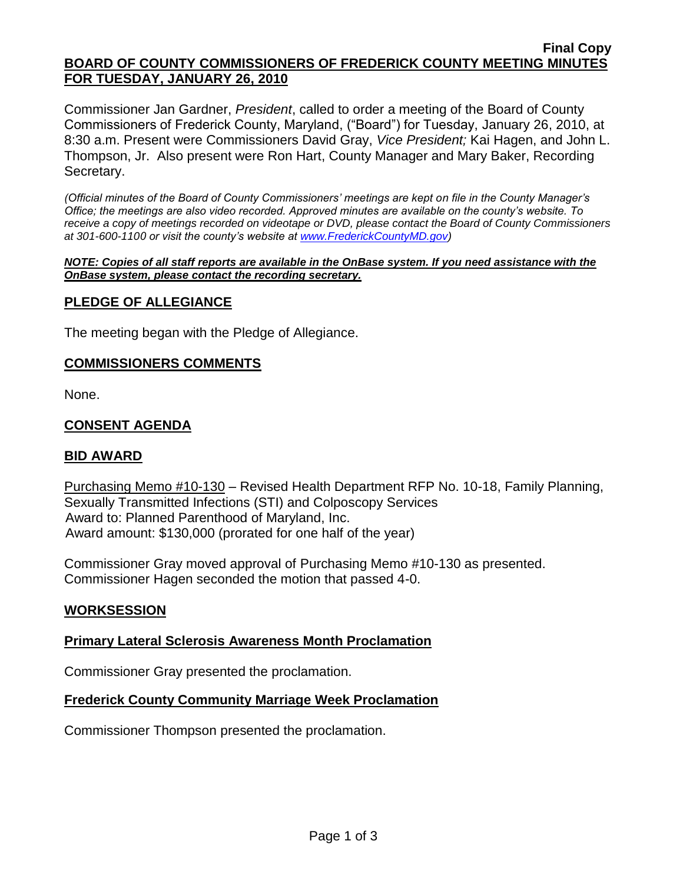#### **Final Copy BOARD OF COUNTY COMMISSIONERS OF FREDERICK COUNTY MEETING MINUTES FOR TUESDAY, JANUARY 26, 2010**

Commissioner Jan Gardner, *President*, called to order a meeting of the Board of County Commissioners of Frederick County, Maryland, ("Board") for Tuesday, January 26, 2010, at 8:30 a.m. Present were Commissioners David Gray, *Vice President;* Kai Hagen, and John L. Thompson, Jr. Also present were Ron Hart, County Manager and Mary Baker, Recording Secretary.

*(Official minutes of the Board of County Commissioners' meetings are kept on file in the County Manager's Office; the meetings are also video recorded. Approved minutes are available on the county's website. To receive a copy of meetings recorded on videotape or DVD, please contact the Board of County Commissioners at 301-600-1100 or visit the county's website at [www.FrederickCountyMD.gov\)](http://www.frederickcountymd.gov/)*

#### *NOTE: Copies of all staff reports are available in the OnBase system. If you need assistance with the OnBase system, please contact the recording secretary.*

## **PLEDGE OF ALLEGIANCE**

The meeting began with the Pledge of Allegiance.

### **COMMISSIONERS COMMENTS**

None.

## **CONSENT AGENDA**

### **BID AWARD**

Purchasing Memo #10-130 – Revised Health Department RFP No. 10-18, Family Planning, Sexually Transmitted Infections (STI) and Colposcopy Services Award to: Planned Parenthood of Maryland, Inc. Award amount: \$130,000 (prorated for one half of the year)

Commissioner Gray moved approval of Purchasing Memo #10-130 as presented. Commissioner Hagen seconded the motion that passed 4-0.

### **WORKSESSION**

### **Primary Lateral Sclerosis Awareness Month Proclamation**

Commissioner Gray presented the proclamation.

### **Frederick County Community Marriage Week Proclamation**

Commissioner Thompson presented the proclamation.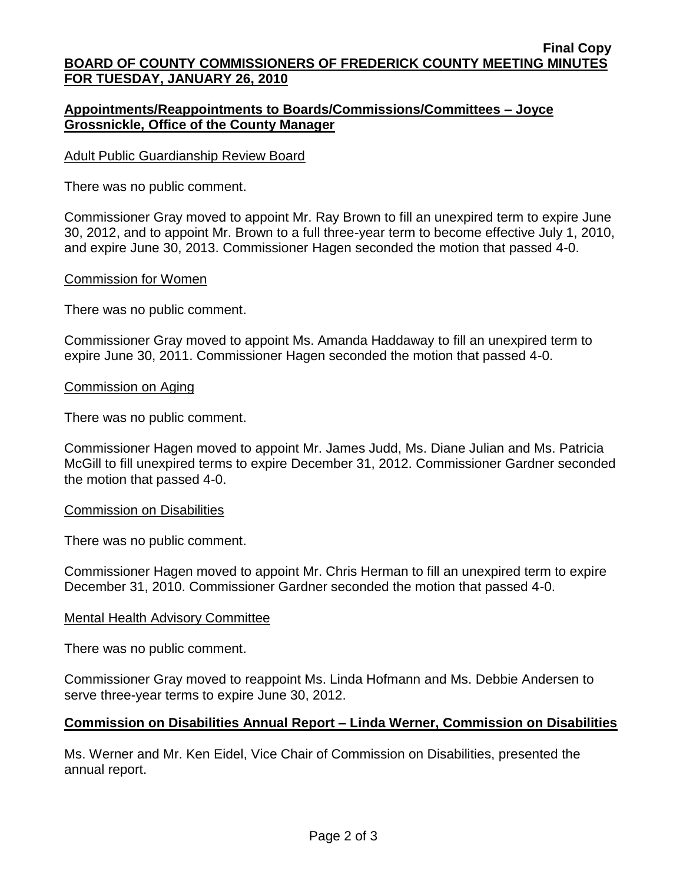#### **Final Copy BOARD OF COUNTY COMMISSIONERS OF FREDERICK COUNTY MEETING MINUTES FOR TUESDAY, JANUARY 26, 2010**

## **Appointments/Reappointments to Boards/Commissions/Committees – Joyce Grossnickle, Office of the County Manager**

### Adult Public Guardianship Review Board

There was no public comment.

Commissioner Gray moved to appoint Mr. Ray Brown to fill an unexpired term to expire June 30, 2012, and to appoint Mr. Brown to a full three-year term to become effective July 1, 2010, and expire June 30, 2013. Commissioner Hagen seconded the motion that passed 4-0.

### Commission for Women

There was no public comment.

Commissioner Gray moved to appoint Ms. Amanda Haddaway to fill an unexpired term to expire June 30, 2011. Commissioner Hagen seconded the motion that passed 4-0.

#### Commission on Aging

There was no public comment.

Commissioner Hagen moved to appoint Mr. James Judd, Ms. Diane Julian and Ms. Patricia McGill to fill unexpired terms to expire December 31, 2012. Commissioner Gardner seconded the motion that passed 4-0.

#### Commission on Disabilities

There was no public comment.

Commissioner Hagen moved to appoint Mr. Chris Herman to fill an unexpired term to expire December 31, 2010. Commissioner Gardner seconded the motion that passed 4-0.

#### Mental Health Advisory Committee

There was no public comment.

Commissioner Gray moved to reappoint Ms. Linda Hofmann and Ms. Debbie Andersen to serve three-year terms to expire June 30, 2012.

### **Commission on Disabilities Annual Report – Linda Werner, Commission on Disabilities**

Ms. Werner and Mr. Ken Eidel, Vice Chair of Commission on Disabilities, presented the annual report.